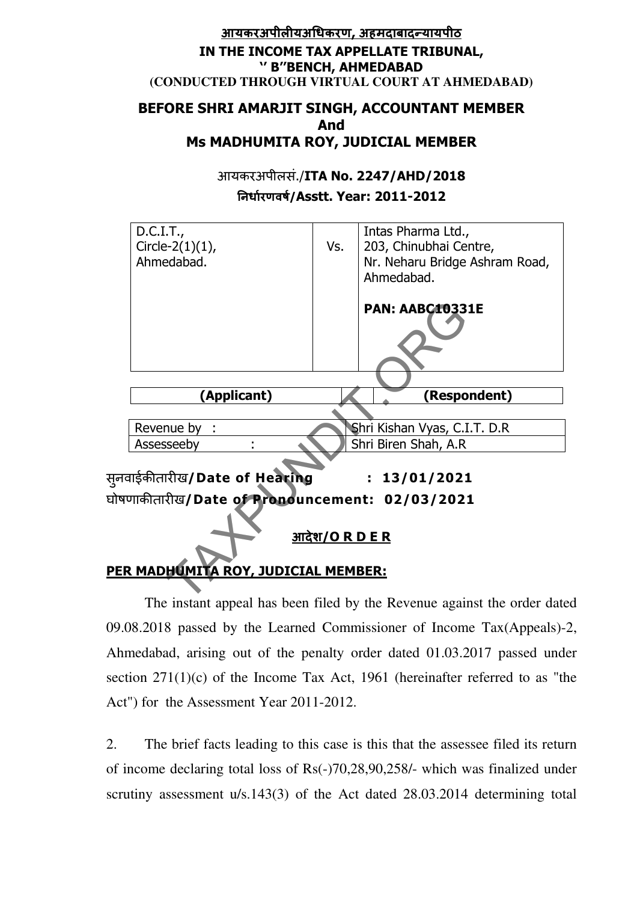## <u>आयकरअपीलीयअधिकरण, अहमदाबादन्यायपीठ</u> IN THE INCOME TAX APPELLATE TRIBUNAL, '' B''BENCH, AHMEDABAD **(CONDUCTED THROUGH VIRTUAL COURT AT AHMEDABAD)**

## BEFORE SHRI AMARJIT SINGH, ACCOUNTANT MEMBER And Ms MADHUMITA ROY, JUDICIAL MEMBER

आयकरअपीलसं./ITA No. 2247/AHD/2018 नधारणवष/Asstt. Year: 2011-2012



The instant appeal has been filed by the Revenue against the order dated 09.08.2018 passed by the Learned Commissioner of Income Tax(Appeals)-2, Ahmedabad, arising out of the penalty order dated 01.03.2017 passed under section 271(1)(c) of the Income Tax Act, 1961 (hereinafter referred to as "the Act") for the Assessment Year 2011-2012.

2. The brief facts leading to this case is this that the assessee filed its return of income declaring total loss of Rs(-)70,28,90,258/- which was finalized under scrutiny assessment u/s.143(3) of the Act dated 28.03.2014 determining total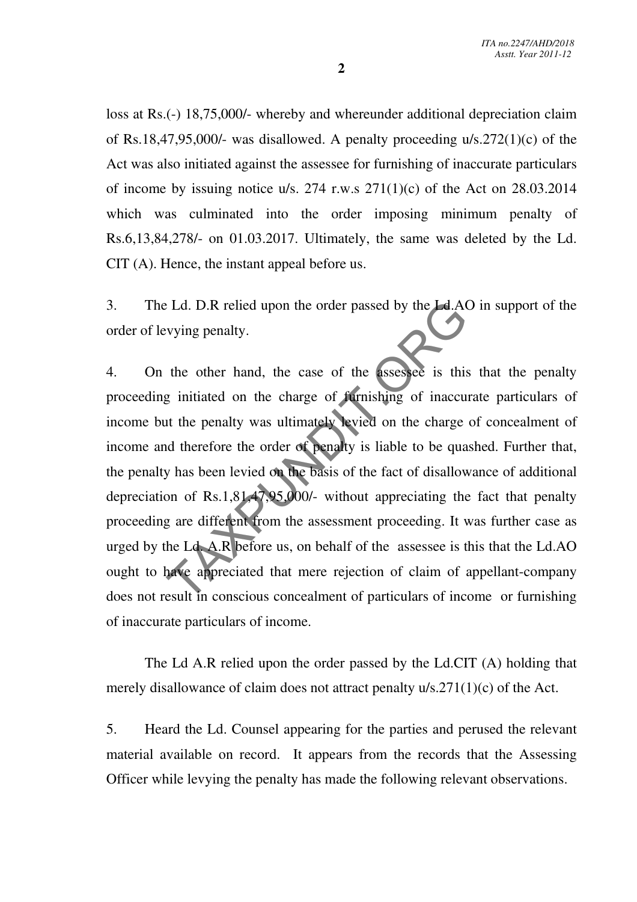loss at Rs.(-) 18,75,000/- whereby and whereunder additional depreciation claim of Rs.18,47,95,000/- was disallowed. A penalty proceeding u/s.272(1)(c) of the Act was also initiated against the assessee for furnishing of inaccurate particulars of income by issuing notice u/s. 274 r.w.s  $271(1)(c)$  of the Act on 28.03.2014 which was culminated into the order imposing minimum penalty of Rs.6,13,84,278/- on 01.03.2017. Ultimately, the same was deleted by the Ld. CIT (A). Hence, the instant appeal before us.

3. The Ld. D.R relied upon the order passed by the Ld.AO in support of the order of levying penalty.

4. On the other hand, the case of the assessee is this that the penalty proceeding initiated on the charge of furnishing of inaccurate particulars of income but the penalty was ultimately levied on the charge of concealment of income and therefore the order of penalty is liable to be quashed. Further that, the penalty has been levied on the basis of the fact of disallowance of additional depreciation of Rs.1,81,47,95,000/- without appreciating the fact that penalty proceeding are different from the assessment proceeding. It was further case as urged by the Ld. A.R before us, on behalf of the assessee is this that the Ld.AO ought to have appreciated that mere rejection of claim of appellant-company does not result in conscious concealment of particulars of income or furnishing of inaccurate particulars of income. Ed. D.R relied upon the order passed by the LAA<br>vying penalty.<br>the other hand, the case of the assessee is this<br>g initiated on the charge of furnishing of inaccu<br>at the penalty was ultimately levied on the charge<br>d theref

 The Ld A.R relied upon the order passed by the Ld.CIT (A) holding that merely disallowance of claim does not attract penalty u/s.271(1)(c) of the Act.

5. Heard the Ld. Counsel appearing for the parties and perused the relevant material available on record. It appears from the records that the Assessing Officer while levying the penalty has made the following relevant observations.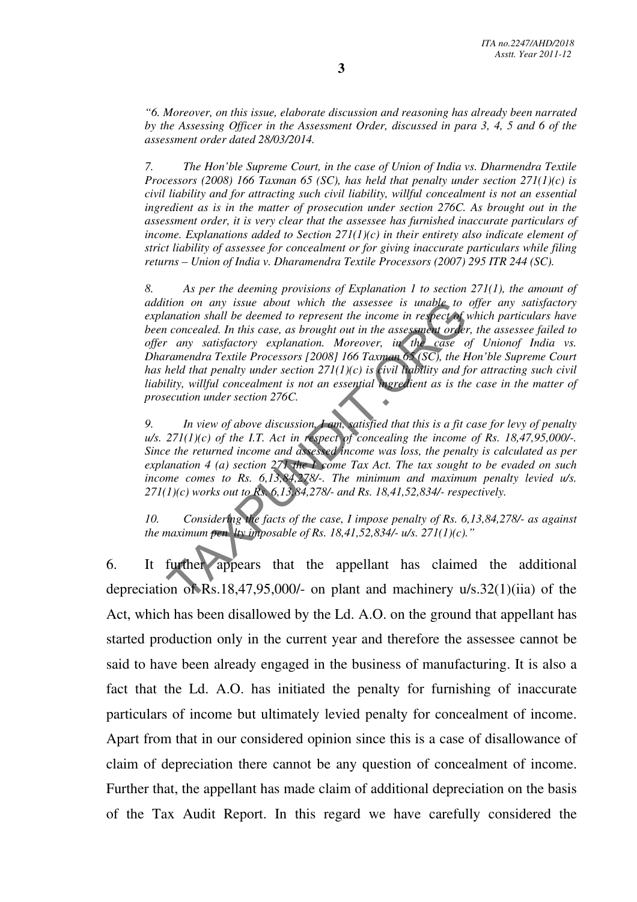*"6. Moreover, on this issue, elaborate discussion and reasoning has already been narrated by the Assessing Officer in the Assessment Order, discussed in para 3, 4, 5 and 6 of the assessment order dated 28/03/2014.* 

*7. The Hon'ble Supreme Court, in the case of Union of India vs. Dharmendra Textile Processors (2008) 166 Taxman 65 (SC), has held that penalty under section 271(1)(c) is civil liability and for attracting such civil liability, willful concealment is not an essential ingredient as is in the matter of prosecution under section 276C. As brought out in the assessment order, it is very clear that the assessee has furnished inaccurate particulars of income. Explanations added to Section*  $271(1)(c)$  *in their entirety also indicate element of strict liability of assessee for concealment or for giving inaccurate particulars while filing returns – Union of India v. Dharamendra Textile Processors (2007) 295 ITR 244 (SC).* 

*8. As per the deeming provisions of Explanation 1 to section 271(1), the amount of addition on any issue about which the assessee is unable to offer any satisfactory explanation shall be deemed to represent the income in respect of which particulars have been concealed. In this case, as brought out in the assessment order, the assessee failed to offer any satisfactory explanation. Moreover, in the case of Unionof India vs. Dharamendra Textile Processors [2008] 166 Taxman 65 (SC), the Hon'ble Supreme Court has held that penalty under section 271(1)(c) is civil liability and for attracting such civil*  liability, willful concealment is not an essential ingredient as is the case in the matter of *prosecution under section 276C.*  tion on any issue about which the assessee is unable to<br>anation shall be deemed to represent the income in respect of the<br>concealed. In this case, as brought out in the assessment order<br> $\cdot$  any satisfactory explanation.

*9. In view of above discussion, I am, satisfied that this is a fit case for levy of penalty*   $u/s.$  271(1)(c) of the I.T. Act in respect of concealing the income of Rs. 18,47,95,000/-. *Since the returned income and assessed income was loss, the penalty is calculated as per explanation 4 (a) section 271 the I come Tax Act. The tax sought to be evaded on such income comes to Rs. 6,13,84,278/-. The minimum and maximum penalty levied u/s. 271(1)(c) works out to Rs. 6,13,84,278/- and Rs. 18,41,52,834/- respectively.* 

*10. Considering the facts of the case, I impose penalty of Rs. 6,13,84,278/- as against the maximum pen lty imposable of Rs. 18,41,52,834/- u/s. 271(1)(c)."* 

6. It further appears that the appellant has claimed the additional depreciation of Rs.18,47,95,000/- on plant and machinery u/s.32(1)(iia) of the Act, which has been disallowed by the Ld. A.O. on the ground that appellant has started production only in the current year and therefore the assessee cannot be said to have been already engaged in the business of manufacturing. It is also a fact that the Ld. A.O. has initiated the penalty for furnishing of inaccurate particulars of income but ultimately levied penalty for concealment of income. Apart from that in our considered opinion since this is a case of disallowance of claim of depreciation there cannot be any question of concealment of income. Further that, the appellant has made claim of additional depreciation on the basis of the Tax Audit Report. In this regard we have carefully considered the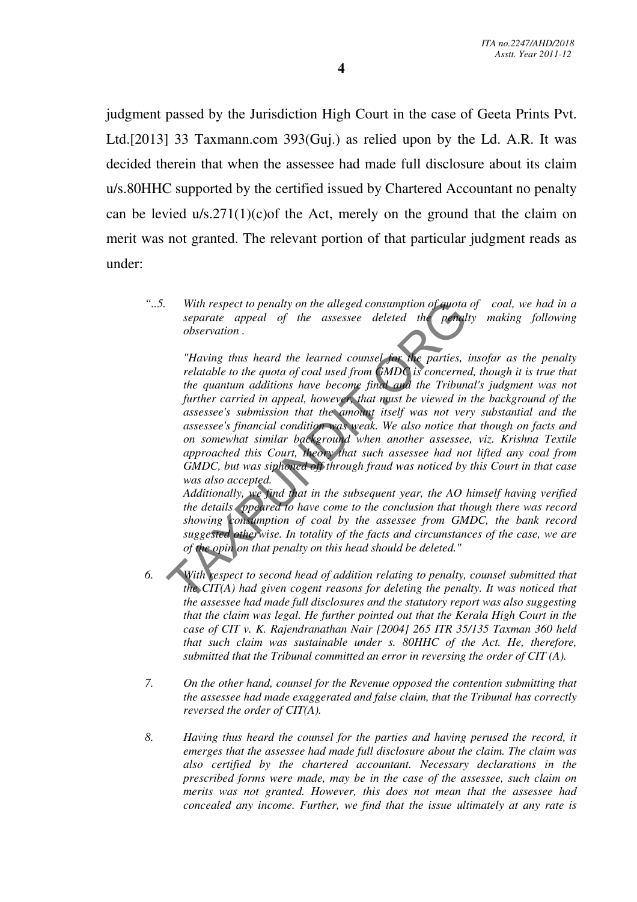judgment passed by the Jurisdiction High Court in the case of Geeta Prints Pvt. Ltd.[2013] 33 Taxmann.com 393(Guj.) as relied upon by the Ld. A.R. It was decided therein that when the assessee had made full disclosure about its claim u/s.80HHC supported by the certified issued by Chartered Accountant no penalty can be levied  $u/s.271(1)(c)$  of the Act, merely on the ground that the claim on merit was not granted. The relevant portion of that particular judgment reads as under:

*"..5. With respect to penalty on the alleged consumption of quota of coal, we had in a separate appeal of the assessee deleted the penalty making following observation .* 

*"Having thus heard the learned counsel for the parties, insofar as the penalty relatable to the quota of coal used from GMDC is concerned, though it is true that the quantum additions have become final and the Tribunal's judgment was not*  further carried in appeal, however, that must be viewed in the background of the *assessee's submission that the amount itself was not very substantial and the assessee's financial condition was weak. We also notice that though on facts and on somewhat similar background when another assessee, viz. Krishna Textile approached this Court, theory that such assessee had not lifted any coal from GMDC, but was siphoned off through fraud was noticed by this Court in that case was also accepted.*  With respect to penalty on the alleged consumption of quota<br>separate appeal of the assessee deleted the penal<br>observation.<br>"Having thus heard the learned counsel for the parties,<br>relatable to the quota of coal used from GM

*Additionally, we find that in the subsequent year, the AO himself having verified the details ppeared to have come to the conclusion that though there was record showing consumption of coal by the assessee from GMDC, the bank record suggested otherwise. In totality of the facts and circumstances of the case, we are of the opin on that penalty on this head should be deleted."* 

- *6. With respect to second head of addition relating to penalty, counsel submitted that the CIT(A) had given cogent reasons for deleting the penalty. It was noticed that the assessee had made full disclosures and the statutory report was also suggesting that the claim was legal. He further pointed out that the Kerala High Court in the case of CIT v. K. Rajendranathan Nair [2004] 265 ITR 35/135 Taxman 360 held that such claim was sustainable under s. 80HHC of the Act. He, therefore, submitted that the Tribunal committed an error in reversing the order of CIT (A).*
- *7. On the other hand, counsel for the Revenue opposed the contention submitting that the assessee had made exaggerated and false claim, that the Tribunal has correctly reversed the order of CIT(A).*
- *8. Having thus heard the counsel for the parties and having perused the record, it emerges that the assessee had made full disclosure about the claim. The claim was also certified by the chartered accountant. Necessary declarations in the prescribed forms were made, may be in the case of the assessee, such claim on merits was not granted. However, this does not mean that the assessee had concealed any income. Further, we find that the issue ultimately at any rate is*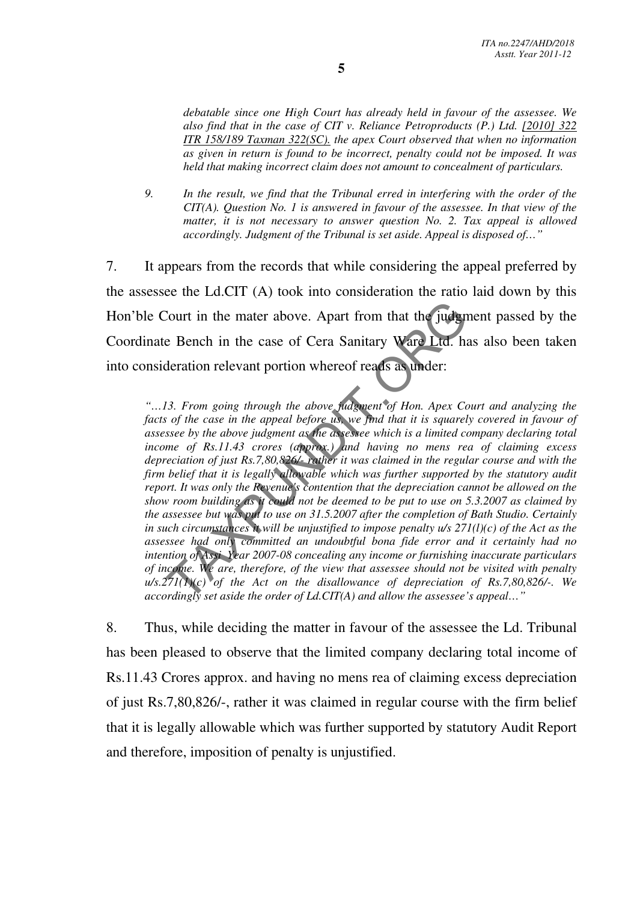*debatable since one High Court has already held in favour of the assessee. We also find that in the case of CIT v. Reliance Petroproducts (P.) Ltd. [2010] 322 ITR 158/189 Taxman 322(SC). the apex Court observed that when no information as given in return is found to be incorrect, penalty could not be imposed. It was held that making incorrect claim does not amount to concealment of particulars.* 

*9. In the result, we find that the Tribunal erred in interfering with the order of the CIT(A). Question No. 1 is answered in favour of the assessee. In that view of the*  matter, it is not necessary to answer question No. 2. Tax appeal is allowed  *accordingly. Judgment of the Tribunal is set aside. Appeal is disposed of…"*

7. It appears from the records that while considering the appeal preferred by the assessee the Ld.CIT (A) took into consideration the ratio laid down by this Hon'ble Court in the mater above. Apart from that the judgment passed by the Coordinate Bench in the case of Cera Sanitary Ware Ltd. has also been taken into consideration relevant portion whereof reads as under:

*"…13. From going through the above judgment of Hon. Apex Court and analyzing the facts of the case in the appeal before us, we find that it is squarely covered in favour of assessee by the above judgment as the assessee which is a limited company declaring total income of Rs.11.43 crores (approx.) and having no mens rea of claiming excess depreciation of just Rs.7,80,826/- rather it was claimed in the regular course and with the firm belief that it is legally allowable which was further supported by the statutory audit report. It was only the Revenue's contention that the depreciation cannot be allowed on the show room building as it could not be deemed to be put to use on 5.3.2007 as claimed by the assessee but was put to use on 31.5.2007 after the completion of Bath Studio. Certainly in such circumstances it will be unjustified to impose penalty u/s 271(l)(c) of the Act as the assessee had only committed an undoubtful bona fide error and it certainly had no intention of Assi Year 2007-08 concealing any income or furnishing inaccurate particulars of income. We are, therefore, of the view that assessee should not be visited with penalty u/s.271(1)(c) of the Act on the disallowance of depreciation of Rs.7,80,826/-. We accordingly set aside the order of Ld.CIT(A) and allow the assessee's appeal…"*  Court in the mater above. Apart from that the judge<br>
a Bench in the case of Cera Sanitary Ware Ltd. have determined the case of Cera Sanitary Ware Ltd. have determined the determined the dowe judgment of Hon. Apex Compari

8. Thus, while deciding the matter in favour of the assessee the Ld. Tribunal has been pleased to observe that the limited company declaring total income of Rs.11.43 Crores approx. and having no mens rea of claiming excess depreciation of just Rs.7,80,826/-, rather it was claimed in regular course with the firm belief that it is legally allowable which was further supported by statutory Audit Report and therefore, imposition of penalty is unjustified.